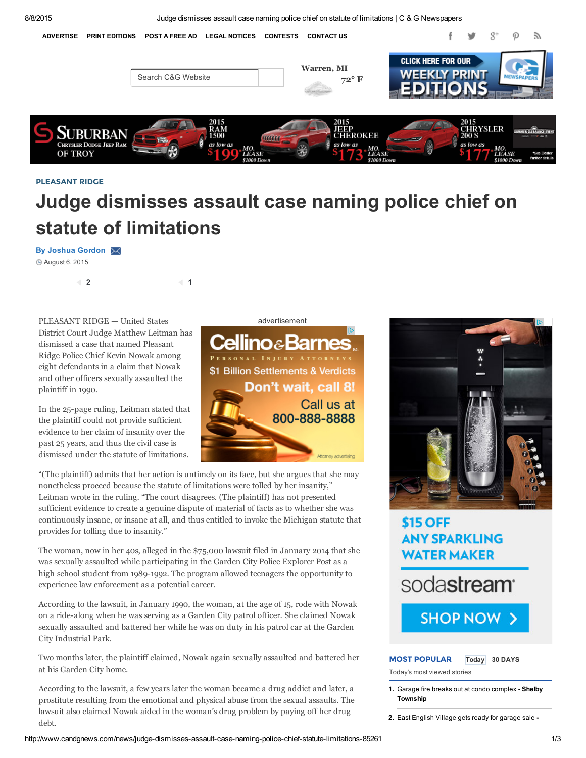8/8/2015 Judge dismisses assault case naming police chief on statute of limitations | C & G Newspapers



#### PLEASANT RIDGE

# Judge dismisses assault case naming police chief on statute of limitations

#### By Joshua Gordon X

August 6, 2015

 $2 \hspace{1.5cm}$  1

PLEASANT RIDGE - United States advertisement District Court Judge Matthew Leitman has dismissed a case that named Pleasant Ridge Police Chief Kevin Nowak among eight defendants in a claim that Nowak and other officers sexually assaulted the plaintiff in 1990.

In the 25-page ruling, Leitman stated that the plaintiff could not provide sufficient evidence to her claim of insanity over the past 25 years, and thus the civil case is dismissed under the statute of limitations.



"(The plaintiff) admits that her action is untimely on its face, but she [argues](http://disq.us/url?url=http%3A%2F%2Fwww.candgnews.com%2Fnews%2Faqua-fest-heats-nautical-mile-84990%3AdOhp7vGFp2_Qx8SemhRUg3AxMuQ&imp=8dvkc8ninq5vk&prev_imp&forum_id=3454572&forum=candgnews&thread_id=4008567511&thread=3967363599&zone=thread&area=discovery) that she may [nonetheless](http://disq.us/url?url=http%3A%2F%2Fwww.candgnews.com%2Fnews%2Fsummer-music-theatre-present-%25E2%2580%2598children-eden%25E2%2580%2599-84878%3A77wRWefxoSnIHwDLB5YkY_PZVCA&imp=8dvkc8ninq5vk&prev_imp&forum_id=3454572&forum=candgnews&thread_id=4008567511&thread=3957102296&zone=thread&area=discovery) proceed because the statute of limitations were tolled by her insanity," Leitman wrote in the ruling. "The court disagrees. (The plaintiff) has not [presented](http://disq.us/url?url=http%3A%2F%2Fwww.candgnews.com%2Fnews%2Faqua-fest-heats-nautical-mile-84990%3AdOhp7vGFp2_Qx8SemhRUg3AxMuQ&imp=8dvkc8ninq5vk&prev_imp&forum_id=3454572&forum=candgnews&thread_id=4008567511&thread=3967363599&zone=thread&area=discovery) sufficient evidence to create a genuine dispute of material of facts as to whether she was [continuously](http://disq.us/url?url=http%3A%2F%2Fwww.candgnews.com%2Fnews%2Fsummer-music-theatre-present-%25E2%2580%2598children-eden%25E2%2580%2599-84878%3A77wRWefxoSnIHwDLB5YkY_PZVCA&imp=8dvkc8ninq5vk&prev_imp&forum_id=3454572&forum=candgnews&thread_id=4008567511&thread=3957102296&zone=thread&area=discovery) insane, or insane at all, and thus entitled to invoke the Michigan statute that provides for tolling due to insanity."

The woman, now in her 40s, alleged in the \$75,000 lawsuit filed in [January](http://disq.us/url?url=http%3A%2F%2Fadmin.candgnews.com%2Fnews%2Ffraser-boy-struck-van-85182%3Aaqamki1vxNXA5DB2mhPQLH3gGCE&imp=8dvkc8ninq5vk&prev_imp&forum_id=3454572&forum=candgnews&thread_id=4008567511&thread=4003424384&zone=thread&area=discovery) 2014 that she was sexually assaulted while [participating](http://disq.us/url?url=http%3A%2F%2Fwww.candgnews.com%2Fsports%2Funited-shore-professional-baseball-league-asks-fans-vote-team-names-85273%3AYlDjnPoi0pa3P_B8MkuvshGPdBs&imp=8dvkc8ninq5vk&prev_imp&forum_id=3454572&forum=candgnews&thread_id=4008567511&thread=4009121988&zone=thread&area=discovery) in the Garden City Police Explorer Post as a high school student from 1989-1992. The program allowed teenagers the [opportunity](http://disq.us/url?url=http%3A%2F%2Fadmin.candgnews.com%2Fnews%2Ffraser-boy-struck-van-85182%3Aaqamki1vxNXA5DB2mhPQLH3gGCE&imp=8dvkc8ninq5vk&prev_imp&forum_id=3454572&forum=candgnews&thread_id=4008567511&thread=4003424384&zone=thread&area=discovery) to experience law [enforcement](http://disq.us/url?url=http%3A%2F%2Fwww.candgnews.com%2Fsports%2Funited-shore-professional-baseball-league-asks-fans-vote-team-names-85273%3AYlDjnPoi0pa3P_B8MkuvshGPdBs&imp=8dvkc8ninq5vk&prev_imp&forum_id=3454572&forum=candgnews&thread_id=4008567511&thread=4009121988&zone=thread&area=discovery) as a potential career.

According to the lawsuit, in January 1990, the woman, at the age of 15, rode with Nowak on a ride-along when he was serving as a Garden City patrol officer. She claimed Nowak sexually [assaulted](https://disqus.com/) and [battered](http://publishers.disq.us/engage?utm_source=candgnews&utm_medium=Disqus-Footer) her while he [was](https://help.disqus.com/customer/portal/articles/1657951?utm_source=disqus&utm_medium=embed-footer&utm_content=privacy-btn) on duty in his patrol car at the Garden City Industrial Park.

Two months later, the plaintiff claimed, Nowak again sexually assaulted and battered her at his Garden City home.

According to the lawsuit, a few years later the woman became a drug addict and later, a prostitute resulting from the emotional and physical abuse from the sexual assaults. The lawsuit also claimed Nowak aided in the woman's drug problem by paying off her drug debt.



## **\$15 OFF ANY SPARKLING WATER MAKER**





## MOST POPULAR Today 30 DAYS

Today's most viewed stories

1. Garage fire breaks out at condo [complex](http://www.candgnews.com/news/garage-fire-breaks-out-condo-complex-85310) - Shelby **Township** 

2. East [English](http://www.candgnews.com/news/east-english-village-gets-ready-garage-sale-85316) Village gets ready for garage sale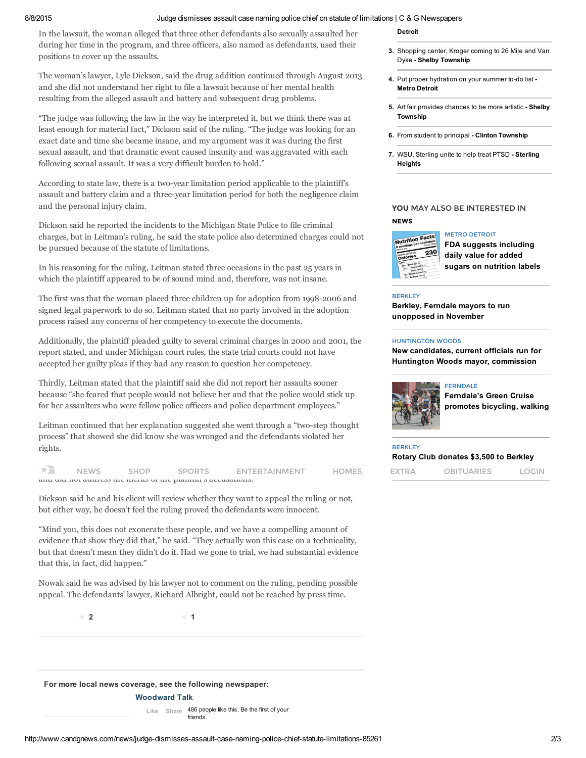#### 8/8/2015 Judge dismisses assault case naming police chief on statute of limitations | C & G Newspapers

In the lawsuit, the woman alleged that three other defendants also sexually assaulted her during her time in the program, and three officers, also named as defendants, used their positions to cover up the assaults.

The woman's lawyer, Lyle Dickson, said the drug addition continued through August 2013 and she did not understand her right to file a lawsuit because of her mental health resulting from the alleged assault and battery and subsequent drug problems.

"The judge was following the law in the way he interpreted it, but we think there was at least enough for material fact," Dickson said of the ruling. "The judge was looking for an exact date and time she became insane, and my argument was it was during the first sexual assault, and that dramatic event caused insanity and was aggravated with each following sexual assault. It was a very difficult burden to hold."

According to state law, there is a two-year limitation period applicable to the plaintiff's assault and battery claim and a three-year limitation period for both the negligence claim and the personal injury claim.

Dickson said he reported the incidents to the Michigan State Police to file criminal charges, but in Leitman's ruling, he said the state police also determined charges could not be pursued because of the statute of limitations.

In his reasoning for the ruling, Leitman stated three occasions in the past 25 years in which the plaintiff appeared to be of sound mind and, therefore, was not insane.

The first was that the woman placed three children up for adoption from 1998-2006 and signed legal paperwork to do so. Leitman stated that no party involved in the adoption process raised any concerns of her competency to execute the documents.

Additionally, the plaintiff pleaded guilty to several criminal charges in 2000 and 2001, the report stated, and under Michigan court rules, the state trial courts could not have accepted her guilty pleas if they had any reason to question her competency.

Thirdly, Leitman stated that the plaintiff said she did not report her assaults sooner because "she feared that people would not believe her and that the police would stick up for her assaulters who were fellow police officers and police department employees."

Leitman continued that her explanation suggested she went through a "two-step thought process" that showed she did know she was wronged and the defendants violated her rights.

| anu ulu not auuros ulu munis or ulu planithi<br>$\sigma$ av<br>моашию.                                                                    |                                |
|-------------------------------------------------------------------------------------------------------------------------------------------|--------------------------------|
| SPOR <sup>7</sup><br><b>NEW</b><br><b>ENTERT</b><br><b>TAINMENT</b><br><b>Breat Contracts</b><br>コピし<br><b>Contract Contract Contract</b> | )RI<br>[UARIE!<br>TRA<br>. I N |

Dickson said he and his client will review whether they want to appeal the ruling or not, but either way, he doesn't feel the ruling proved the defendants were innocent.

"Mind you, this does not exonerate these people, and we have a compelling amount of evidence that show they did that," he said. "They actually won this case on a technicality, but that doesn't mean they didn't do it. Had we gone to trial, we had substantial evidence that this, in fact, did happen."

Nowak said he was advised by his lawyer not to comment on the ruling, pending possible appeal. The defendants' lawyer, Richard Albright, could not be reached by press time.

2 and  $\overline{1}$  1

For more local news coverage, see the following newspaper:

#### [Woodward](http://www.facebook.com/woodwardtalk) Talk

Like Share 486 people like this. Be the first of your friends.

- 3. Shopping center, Kroger coming to 26 Mile and Van Dyke - Shelby [Township](http://www.candgnews.com/news/shopping-center-kroger-coming-26-mile-and-van-dyke-85161)
- 4. Put proper [hydration](http://www.candgnews.com/news/put-proper-hydration-your-summer-do-list-85238) on your summer to-do list -Metro Detroit
- 5. Art fair [provides](http://www.candgnews.com/news/art-fair-provides-chances-be-more-artistic-85162) chances to be more artistic Shelby **Township**
- 6. From student to [principal](http://www.candgnews.com/news/student-principal-85234) Clinton Township
- 7. WSU, [Sterling](http://www.candgnews.com/news/wsu-sterling-unite-help-treat-ptsd-85312) unite to help treat PTSD Sterling Heights

### YOU MAY ALSO BE INTERESTED IN NEWS



METRO DETROIT FDA suggests [including](http://www.candgnews.com/news/sweet-stuff-85280) daily value for added sugars on nutrition labels

#### BERKLEY

Berkley, Ferndale mayors to run [unopposed](http://www.candgnews.com/news/berkley-ferndale-mayors-run-unopposed-november-85265) in November

#### HUNTINGTON WOODS

New candidates, current officials run for Huntington Woods mayor, [commission](http://www.candgnews.com/news/new-candidates-current-officials-run-huntington-woods-mayor-commission-85264)



#### FERNDALE

[Ferndale's](http://www.candgnews.com/news/ferndale%E2%80%99s-green-cruise-promotes-bicycling-walking-85262) Green Cruise promotes bicycling, walking

### **BERKLEY**

Rotary Club donates \$3,500 to Berkley